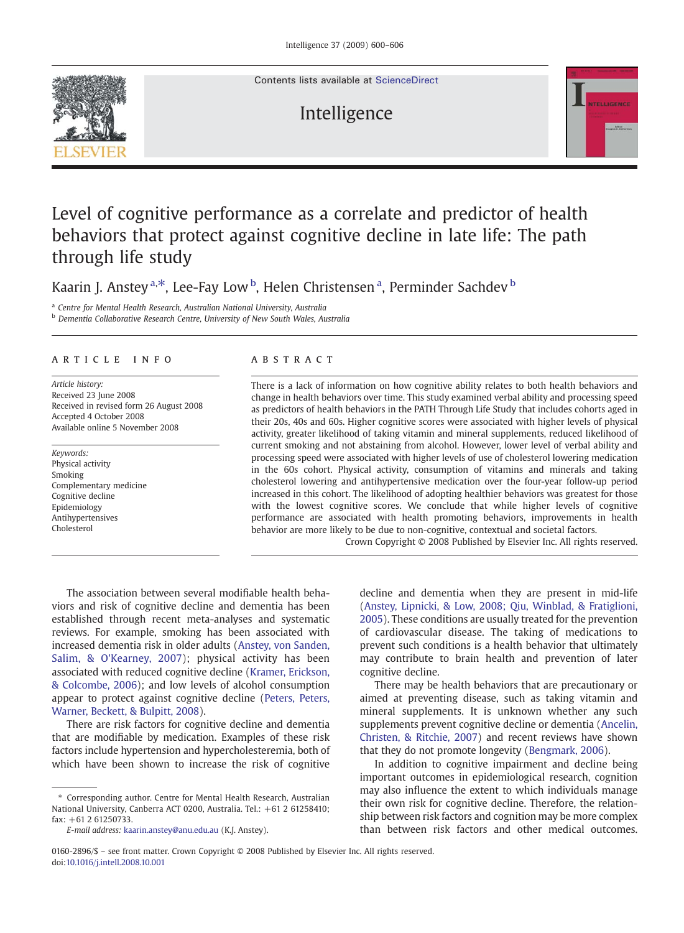Contents lists available at [ScienceDirect](http://www.sciencedirect.com/science/journal/01602896)

# Intelligence



# Level of cognitive performance as a correlate and predictor of health behaviors that protect against cognitive decline in late life: The path through life study

Kaarin J. Anstey <sup>a,\*</sup>, Lee-Fay Low <sup>b</sup>, Helen Christensen <sup>a</sup>, Perminder Sachdev <sup>b</sup>

<sup>a</sup> Centre for Mental Health Research, Australian National University, Australia

**b** Dementia Collaborative Research Centre, University of New South Wales, Australia

# article info abstract

Article history: Received 23 June 2008 Received in revised form 26 August 2008 Accepted 4 October 2008 Available online 5 November 2008

Keywords: Physical activity Smoking Complementary medicine Cognitive decline Epidemiology Antihypertensives Cholesterol

There is a lack of information on how cognitive ability relates to both health behaviors and change in health behaviors over time. This study examined verbal ability and processing speed as predictors of health behaviors in the PATH Through Life Study that includes cohorts aged in their 20s, 40s and 60s. Higher cognitive scores were associated with higher levels of physical activity, greater likelihood of taking vitamin and mineral supplements, reduced likelihood of current smoking and not abstaining from alcohol. However, lower level of verbal ability and processing speed were associated with higher levels of use of cholesterol lowering medication in the 60s cohort. Physical activity, consumption of vitamins and minerals and taking cholesterol lowering and antihypertensive medication over the four-year follow-up period increased in this cohort. The likelihood of adopting healthier behaviors was greatest for those with the lowest cognitive scores. We conclude that while higher levels of cognitive performance are associated with health promoting behaviors, improvements in health behavior are more likely to be due to non-cognitive, contextual and societal factors.

Crown Copyright © 2008 Published by Elsevier Inc. All rights reserved.

The association between several modifiable health behaviors and risk of cognitive decline and dementia has been established through recent meta-analyses and systematic reviews. For example, smoking has been associated with increased dementia risk in older adults [\(Anstey, von Sanden,](#page--1-0) [Salim, & O'Kearney, 2007\)](#page--1-0); physical activity has been associated with reduced cognitive decline ([Kramer, Erickson,](#page--1-0) [& Colcombe, 2006\)](#page--1-0); and low levels of alcohol consumption appear to protect against cognitive decline [\(Peters, Peters,](#page--1-0) [Warner, Beckett, & Bulpitt, 2008\)](#page--1-0).

There are risk factors for cognitive decline and dementia that are modifiable by medication. Examples of these risk factors include hypertension and hypercholesteremia, both of which have been shown to increase the risk of cognitive

⁎ Corresponding author. Centre for Mental Health Research, Australian National University, Canberra ACT 0200, Australia. Tel.: +61 2 61258410;  $fax: +61261250733.$ 

decline and dementia when they are present in mid-life ([Anstey, Lipnicki, & Low, 2008; Qiu, Winblad, & Fratiglioni,](#page--1-0) [2005\)](#page--1-0). These conditions are usually treated for the prevention of cardiovascular disease. The taking of medications to prevent such conditions is a health behavior that ultimately may contribute to brain health and prevention of later cognitive decline.

There may be health behaviors that are precautionary or aimed at preventing disease, such as taking vitamin and mineral supplements. It is unknown whether any such supplements prevent cognitive decline or dementia [\(Ancelin,](#page--1-0) [Christen, & Ritchie, 2007](#page--1-0)) and recent reviews have shown that they do not promote longevity ([Bengmark, 2006\)](#page--1-0).

In addition to cognitive impairment and decline being important outcomes in epidemiological research, cognition may also influence the extent to which individuals manage their own risk for cognitive decline. Therefore, the relationship between risk factors and cognition may be more complex than between risk factors and other medical outcomes.



E-mail address: [kaarin.anstey@anu.edu.au](mailto:kaarin.anstey@anu.edu.au) (K.J. Anstey).

<sup>0160-2896/\$</sup> – see front matter. Crown Copyright © 2008 Published by Elsevier Inc. All rights reserved. doi:[10.1016/j.intell.2008.10.001](http://dx.doi.org/10.1016/j.intell.2008.10.001)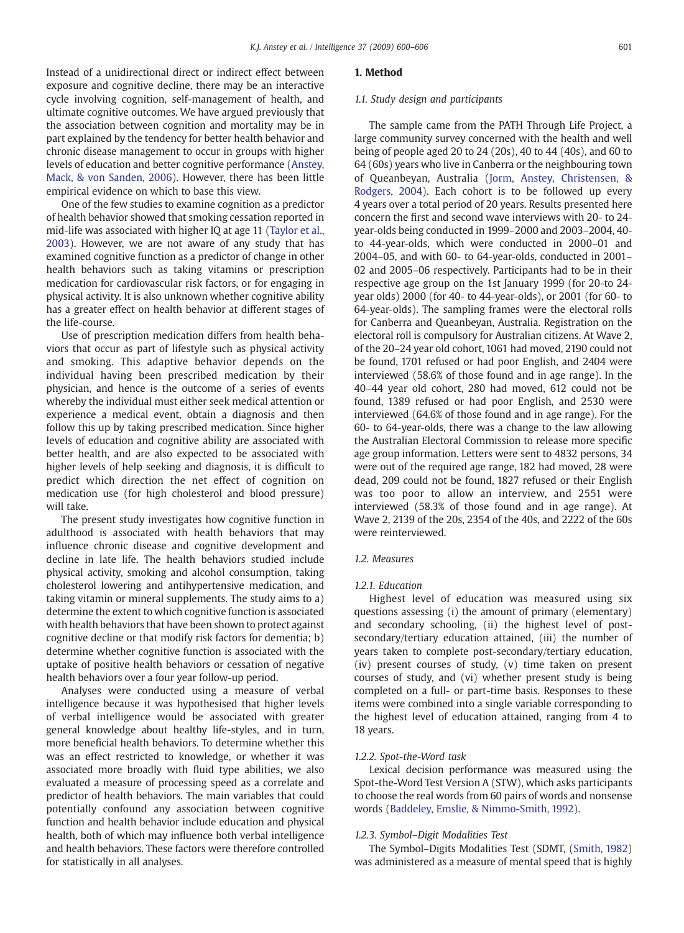Instead of a unidirectional direct or indirect effect between exposure and cognitive decline, there may be an interactive cycle involving cognition, self-management of health, and ultimate cognitive outcomes. We have argued previously that the association between cognition and mortality may be in part explained by the tendency for better health behavior and chronic disease management to occur in groups with higher levels of education and better cognitive performance ([Anstey,](#page--1-0) [Mack, & von Sanden, 2006\)](#page--1-0). However, there has been little empirical evidence on which to base this view.

One of the few studies to examine cognition as a predictor of health behavior showed that smoking cessation reported in mid-life was associated with higher IQ at age 11 ([Taylor et al.,](#page--1-0) [2003](#page--1-0)). However, we are not aware of any study that has examined cognitive function as a predictor of change in other health behaviors such as taking vitamins or prescription medication for cardiovascular risk factors, or for engaging in physical activity. It is also unknown whether cognitive ability has a greater effect on health behavior at different stages of the life-course.

Use of prescription medication differs from health behaviors that occur as part of lifestyle such as physical activity and smoking. This adaptive behavior depends on the individual having been prescribed medication by their physician, and hence is the outcome of a series of events whereby the individual must either seek medical attention or experience a medical event, obtain a diagnosis and then follow this up by taking prescribed medication. Since higher levels of education and cognitive ability are associated with better health, and are also expected to be associated with higher levels of help seeking and diagnosis, it is difficult to predict which direction the net effect of cognition on medication use (for high cholesterol and blood pressure) will take.

The present study investigates how cognitive function in adulthood is associated with health behaviors that may influence chronic disease and cognitive development and decline in late life. The health behaviors studied include physical activity, smoking and alcohol consumption, taking cholesterol lowering and antihypertensive medication, and taking vitamin or mineral supplements. The study aims to a) determine the extent to which cognitive function is associated with health behaviors that have been shown to protect against cognitive decline or that modify risk factors for dementia; b) determine whether cognitive function is associated with the uptake of positive health behaviors or cessation of negative health behaviors over a four year follow-up period.

Analyses were conducted using a measure of verbal intelligence because it was hypothesised that higher levels of verbal intelligence would be associated with greater general knowledge about healthy life-styles, and in turn, more beneficial health behaviors. To determine whether this was an effect restricted to knowledge, or whether it was associated more broadly with fluid type abilities, we also evaluated a measure of processing speed as a correlate and predictor of health behaviors. The main variables that could potentially confound any association between cognitive function and health behavior include education and physical health, both of which may influence both verbal intelligence and health behaviors. These factors were therefore controlled for statistically in all analyses.

# 1. Method

### 1.1. Study design and participants

The sample came from the PATH Through Life Project, a large community survey concerned with the health and well being of people aged 20 to 24 (20s), 40 to 44 (40s), and 60 to 64 (60s) years who live in Canberra or the neighbouring town of Queanbeyan, Australia [\(Jorm, Anstey, Christensen, &](#page--1-0) [Rodgers, 2004](#page--1-0)). Each cohort is to be followed up every 4 years over a total period of 20 years. Results presented here concern the first and second wave interviews with 20- to 24 year-olds being conducted in 1999–2000 and 2003–2004, 40 to 44-year-olds, which were conducted in 2000–01 and 2004–05, and with 60- to 64-year-olds, conducted in 2001– 02 and 2005–06 respectively. Participants had to be in their respective age group on the 1st January 1999 (for 20-to 24 year olds) 2000 (for 40- to 44-year-olds), or 2001 (for 60- to 64-year-olds). The sampling frames were the electoral rolls for Canberra and Queanbeyan, Australia. Registration on the electoral roll is compulsory for Australian citizens. At Wave 2, of the 20–24 year old cohort, 1061 had moved, 2190 could not be found, 1701 refused or had poor English, and 2404 were interviewed (58.6% of those found and in age range). In the 40–44 year old cohort, 280 had moved, 612 could not be found, 1389 refused or had poor English, and 2530 were interviewed (64.6% of those found and in age range). For the 60- to 64-year-olds, there was a change to the law allowing the Australian Electoral Commission to release more specific age group information. Letters were sent to 4832 persons, 34 were out of the required age range, 182 had moved, 28 were dead, 209 could not be found, 1827 refused or their English was too poor to allow an interview, and 2551 were interviewed (58.3% of those found and in age range). At Wave 2, 2139 of the 20s, 2354 of the 40s, and 2222 of the 60s were reinterviewed.

### 12 Measures

# 1.2.1. Education

Highest level of education was measured using six questions assessing (i) the amount of primary (elementary) and secondary schooling, (ii) the highest level of postsecondary/tertiary education attained, (iii) the number of years taken to complete post-secondary/tertiary education, (iv) present courses of study, (v) time taken on present courses of study, and (vi) whether present study is being completed on a full- or part-time basis. Responses to these items were combined into a single variable corresponding to the highest level of education attained, ranging from 4 to 18 years.

### 1.2.2. Spot-the-Word task

Lexical decision performance was measured using the Spot-the-Word Test Version A (STW), which asks participants to choose the real words from 60 pairs of words and nonsense words [\(Baddeley, Emslie, & Nimmo-Smith, 1992\)](#page--1-0).

# 1.2.3. Symbol–Digit Modalities Test

The Symbol–Digits Modalities Test (SDMT, [\(Smith, 1982\)](#page--1-0) was administered as a measure of mental speed that is highly